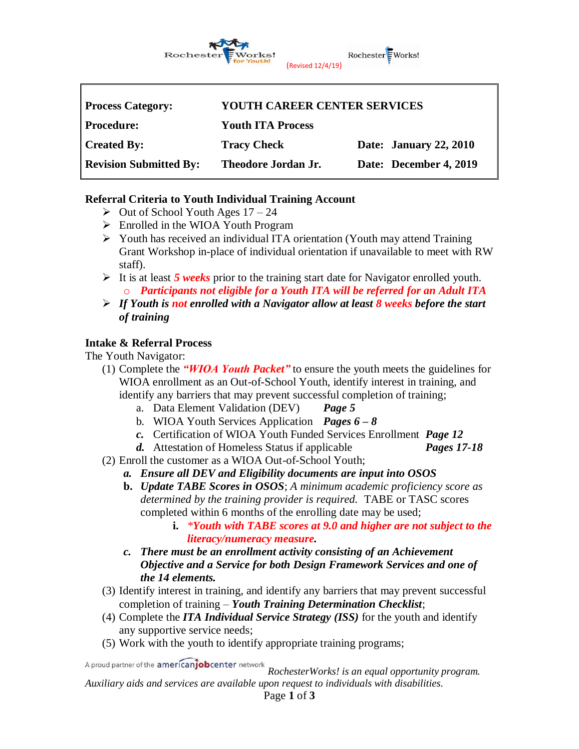

### **Referral Criteria to Youth Individual Training Account**

- $\geq$  Out of School Youth Ages 17 24
- ➢ Enrolled in the WIOA Youth Program
- ➢ Youth has received an individual ITA orientation (Youth may attend Training Grant Workshop in-place of individual orientation if unavailable to meet with RW staff).
- ➢ It is at least *5 weeks* prior to the training start date for Navigator enrolled youth. o *Participants not eligible for a Youth ITA will be referred for an Adult ITA*
- ➢ *If Youth is not enrolled with a Navigator allow at least 8 weeks before the start of training*

### **Intake & Referral Process**

The Youth Navigator:

- (1) Complete the *"WIOA Youth Packet"* to ensure the youth meets the guidelines for WIOA enrollment as an Out-of-School Youth, identify interest in training, and identify any barriers that may prevent successful completion of training;
	- a. Data Element Validation (DEV) *Page 5*
	- b. WIOA Youth Services Application *Pages 6 – 8*
	- *c.* Certification of WIOA Youth Funded Services Enrollment *Page 12*
	- *d.* Attestation of Homeless Status if applicable *Pages 17-18*
- (2) Enroll the customer as a WIOA Out-of-School Youth;
	- *a. Ensure all DEV and Eligibility documents are input into OSOS*
	- **b.** *Update TABE Scores in OSOS*; *A minimum academic proficiency score as determined by the training provider is required.* TABE or TASC scores completed within 6 months of the enrolling date may be used;
		- **i.** *\*Youth with TABE scores at 9.0 and higher are not subject to the literacy/numeracy measure.*
	- *c. There must be an enrollment activity consisting of an Achievement Objective and a Service for both Design Framework Services and one of the 14 elements.*
- (3) Identify interest in training, and identify any barriers that may prevent successful completion of training – *Youth Training Determination Checklist*;
- (4) Complete the *ITA Individual Service Strategy (ISS)* for the youth and identify any supportive service needs;
- (5) Work with the youth to identify appropriate training programs;

A proud partner of the americanjobcenter network

*RochesterWorks! is an equal opportunity program. Auxiliary aids and services are available upon request to individuals with disabilities.* Page **1** of **3**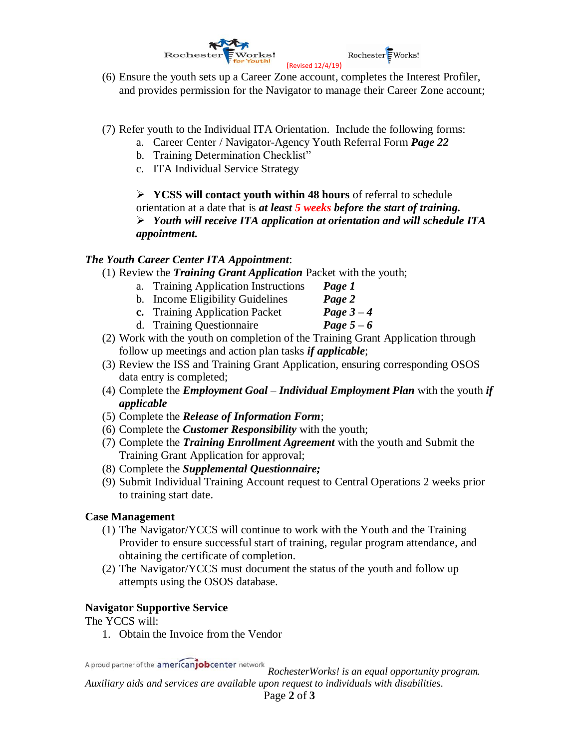

- (6) Ensure the youth sets up a Career Zone account, completes the Interest Profiler, and provides permission for the Navigator to manage their Career Zone account;
- (7) Refer youth to the Individual ITA Orientation. Include the following forms:
	- a. Career Center / Navigator-Agency Youth Referral Form *Page 22*
	- b. Training Determination Checklist"
	- c. ITA Individual Service Strategy

➢ **YCSS will contact youth within 48 hours** of referral to schedule orientation at a date that is *at least 5 weeks before the start of training.* ➢ *Youth will receive ITA application at orientation and will schedule ITA appointment.*

### *The Youth Career Center ITA Appointment*:

- (1) Review the *Training Grant Application* Packet with the youth;
	- a. Training Application Instructions *Page 1*
	- b. Income Eligibility Guidelines *Page 2*
	- **c.** Training Application Packet *Page 3 – 4*
	- d. Training Questionnaire *Page*  $5 6$
- (2) Work with the youth on completion of the Training Grant Application through follow up meetings and action plan tasks *if applicable*;
- (3) Review the ISS and Training Grant Application, ensuring corresponding OSOS data entry is completed;
- (4) Complete the *Employment Goal Individual Employment Plan* with the youth *if applicable*
- (5) Complete the *Release of Information Form*;
- (6) Complete the *Customer Responsibility* with the youth;
- (7) Complete the *Training Enrollment Agreement* with the youth and Submit the Training Grant Application for approval;
- (8) Complete the *Supplemental Questionnaire;*
- (9) Submit Individual Training Account request to Central Operations 2 weeks prior to training start date.

### **Case Management**

- (1) The Navigator/YCCS will continue to work with the Youth and the Training Provider to ensure successful start of training, regular program attendance, and obtaining the certificate of completion.
- (2) The Navigator/YCCS must document the status of the youth and follow up attempts using the OSOS database.

#### **Navigator Supportive Service**

The YCCS will:

1. Obtain the Invoice from the Vendor

A proud partner of the americanjobcenter network

*RochesterWorks! is an equal opportunity program. Auxiliary aids and services are available upon request to individuals with disabilities.* Page **2** of **3**